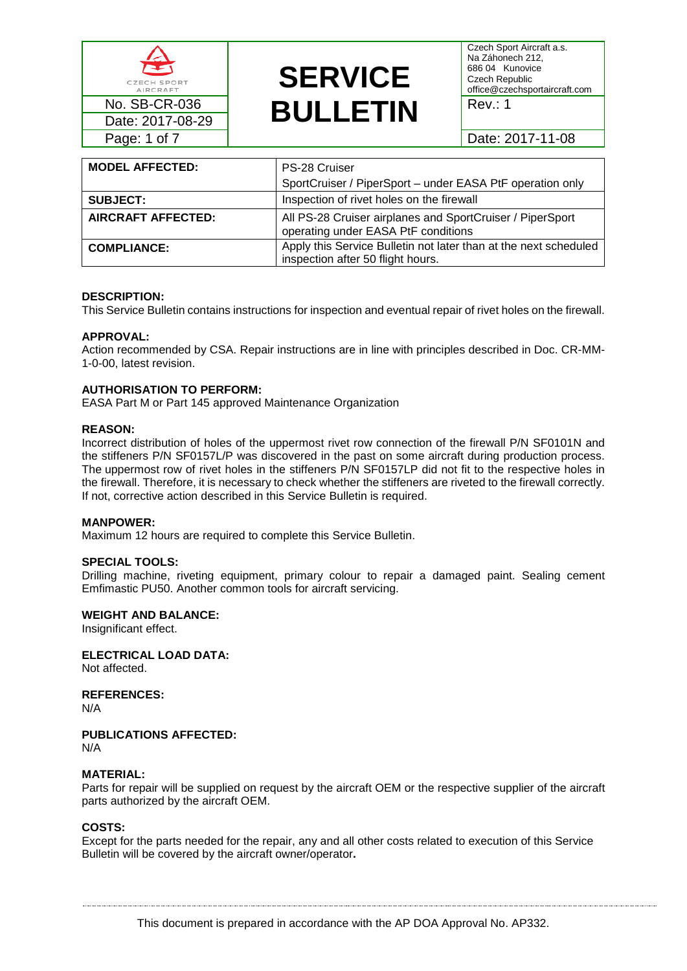

# **SERVICE**  No. SB-CR-036<br>Date: 2017-08-29 **BULLETIN**

Czech Sport Aircraft a.s. Na Záhonech 212, 686 04 Kunovice Czech Republic office@czechsportaircraft.com

| <b>MODEL AFFECTED:</b> | PS-28 Cruiser<br>SportCruiser / PiperSport - under EASA PtF operation only                            |
|------------------------|-------------------------------------------------------------------------------------------------------|
| <b>SUBJECT:</b>        | Inspection of rivet holes on the firewall                                                             |
| AIRCRAFT AFFECTED:     | All PS-28 Cruiser airplanes and SportCruiser / PiperSport<br>operating under EASA PtF conditions      |
| <b>COMPLIANCE:</b>     | Apply this Service Bulletin not later than at the next scheduled<br>inspection after 50 flight hours. |

#### **DESCRIPTION:**

This Service Bulletin contains instructions for inspection and eventual repair of rivet holes on the firewall.

#### **APPROVAL:**

Action recommended by CSA. Repair instructions are in line with principles described in Doc. CR-MM-1-0-00, latest revision.

#### **AUTHORISATION TO PERFORM:**

EASA Part M or Part 145 approved Maintenance Organization

#### **REASON:**

Incorrect distribution of holes of the uppermost rivet row connection of the firewall P/N SF0101N and the stiffeners P/N SF0157L/P was discovered in the past on some aircraft during production process. The uppermost row of rivet holes in the stiffeners P/N SF0157LP did not fit to the respective holes in the firewall. Therefore, it is necessary to check whether the stiffeners are riveted to the firewall correctly. If not, corrective action described in this Service Bulletin is required.

#### **MANPOWER:**

Maximum 12 hours are required to complete this Service Bulletin.

#### **SPECIAL TOOLS:**

Drilling machine, riveting equipment, primary colour to repair a damaged paint. Sealing cement Emfimastic PU50. Another common tools for aircraft servicing.

#### **WEIGHT AND BALANCE:**

Insignificant effect.

**ELECTRICAL LOAD DATA:**

Not affected.

**REFERENCES:**

N/A

## **PUBLICATIONS AFFECTED:**

N/A

#### **MATERIAL:**

Parts for repair will be supplied on request by the aircraft OEM or the respective supplier of the aircraft parts authorized by the aircraft OEM.

#### **COSTS:**

Except for the parts needed for the repair, any and all other costs related to execution of this Service Bulletin will be covered by the aircraft owner/operator**.**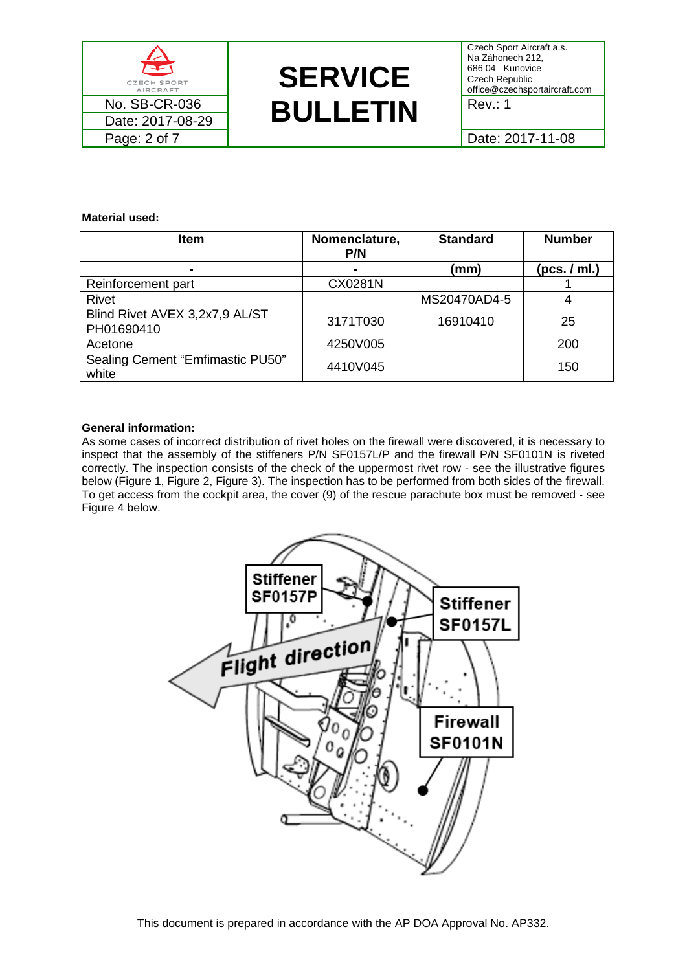



Czech Sport Aircraft a.s. Na Záhonech 212, 686 04 Kunovice Czech Republic office@czechsportaircraft.com

**Material used:**

| <b>Item</b>                                  | Nomenclature,<br>P/N | <b>Standard</b> | <b>Number</b> |
|----------------------------------------------|----------------------|-----------------|---------------|
| $\blacksquare$                               | $\blacksquare$       | (mm)            | (pcs. / ml.)  |
| Reinforcement part                           | CX0281N              |                 |               |
| Rivet                                        |                      | MS20470AD4-5    |               |
| Blind Rivet AVEX 3,2x7,9 AL/ST<br>PH01690410 | 3171T030             | 16910410        | 25            |
| Acetone                                      | 4250V005             |                 | 200           |
| Sealing Cement "Emfimastic PU50"<br>white    | 4410V045             |                 | 150           |

## **General information:**

As some cases of incorrect distribution of rivet holes on the firewall were discovered, it is necessary to inspect that the assembly of the stiffeners P/N SF0157L/P and the firewall P/N SF0101N is riveted correctly. The inspection consists of the check of the uppermost rivet row - see the illustrative figures below [\(Figure 1,](#page-2-0) [Figure 2,](#page-2-1) [Figure 3\)](#page-3-0). The inspection has to be performed from both sides of the firewall. To get access from the cockpit area, the cover (9) of the rescue parachute box must be removed - see [Figure 4](#page-3-1) below.

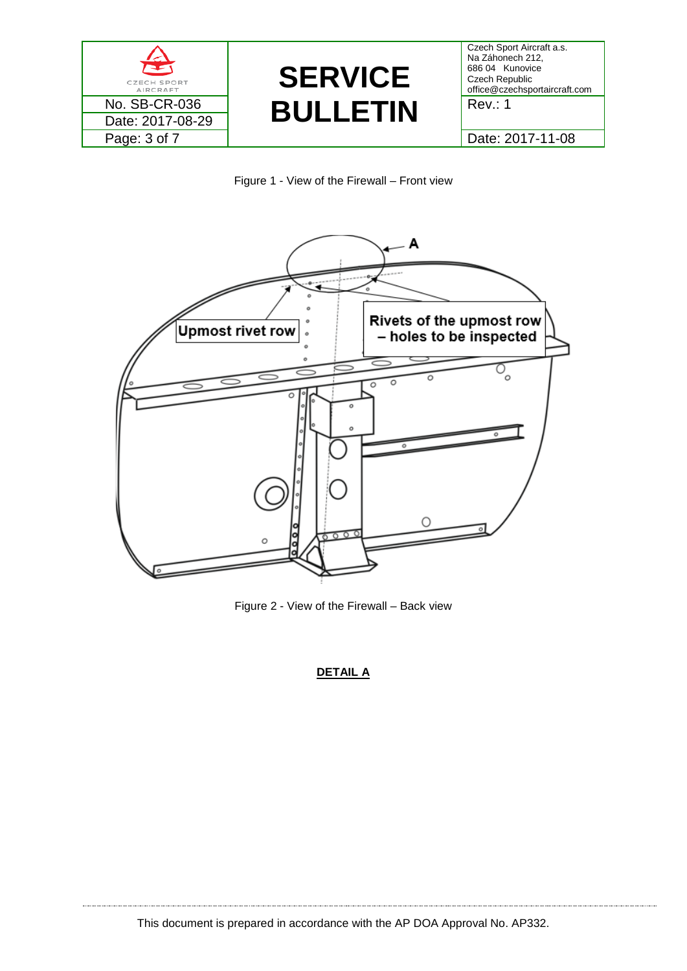



<span id="page-2-0"></span>

<span id="page-2-1"></span>Figure 2 - View of the Firewall – Back view

## **DETAIL A**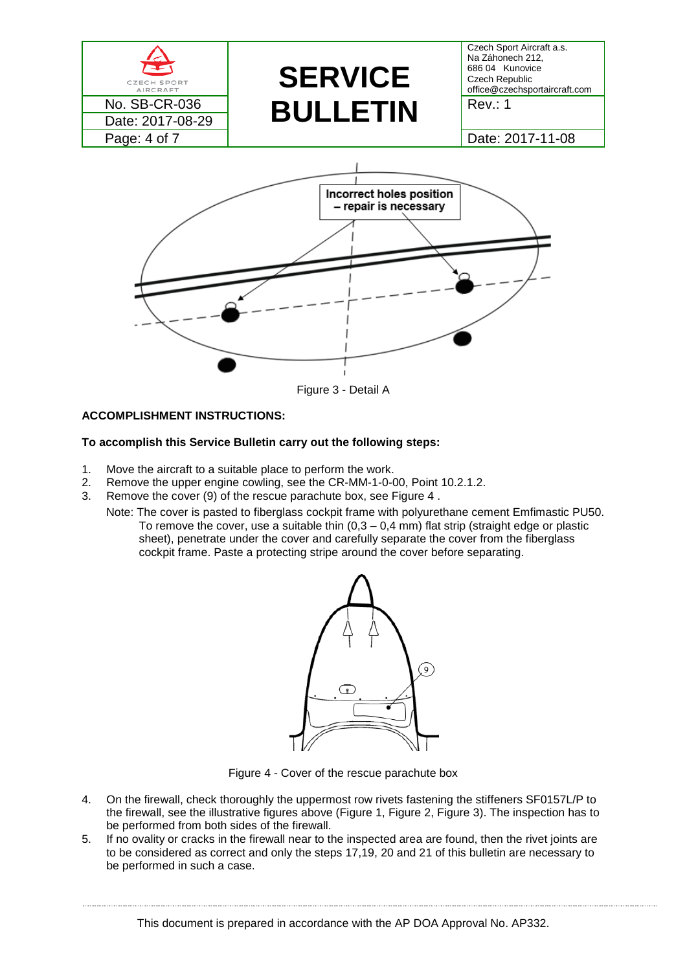

Figure 3 - Detail A

## <span id="page-3-0"></span>**ACCOMPLISHMENT INSTRUCTIONS:**

## **To accomplish this Service Bulletin carry out the following steps:**

- 1. Move the aircraft to a suitable place to perform the work.
- 2. Remove the upper engine cowling, see the CR-MM-1-0-00, Point 10.2.1.2.
- 3. Remove the cover (9) of the rescue parachute box, see [Figure 4](#page-3-1) .
	- Note: The cover is pasted to fiberglass cockpit frame with polyurethane cement Emfimastic PU50. To remove the cover, use a suitable thin  $(0,3 - 0,4 \text{ mm})$  flat strip (straight edge or plastic sheet), penetrate under the cover and carefully separate the cover from the fiberglass cockpit frame. Paste a protecting stripe around the cover before separating.



Figure 4 - Cover of the rescue parachute box

- <span id="page-3-1"></span>4. On the firewall, check thoroughly the uppermost row rivets fastening the stiffeners SF0157L/P to the firewall, see the illustrative figures above [\(Figure 1,](#page-2-0) [Figure 2,](#page-2-1) [Figure 3\)](#page-3-0). The inspection has to be performed from both sides of the firewall.
- 5. If no ovality or cracks in the firewall near to the inspected area are found, then the rivet joints are to be considered as correct and only the steps 17,19, 20 and 21 of this bulletin are necessary to be performed in such a case.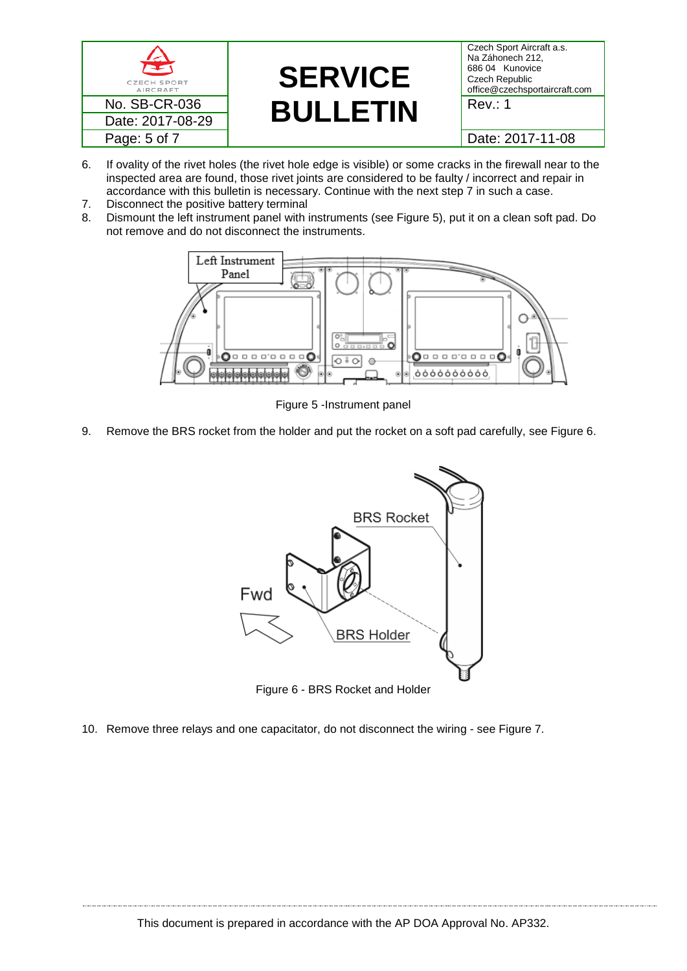

- 6. If ovality of the rivet holes (the rivet hole edge is visible) or some cracks in the firewall near to the inspected area are found, those rivet joints are considered to be faulty / incorrect and repair in accordance with this bulletin is necessary. Continue with the next step 7 in such a case.
- 7. Disconnect the positive battery terminal
- 8. Dismount the left instrument panel with instruments (see [Figure 5\)](#page-4-0), put it on a clean soft pad. Do not remove and do not disconnect the instruments.



Figure 5 -Instrument panel

<span id="page-4-0"></span>9. Remove the BRS rocket from the holder and put the rocket on a soft pad carefully, see [Figure 6.](#page-4-1)



Figure 6 - BRS Rocket and Holder

<span id="page-4-1"></span>10. Remove three relays and one capacitator, do not disconnect the wiring - see [Figure 7.](#page-5-0)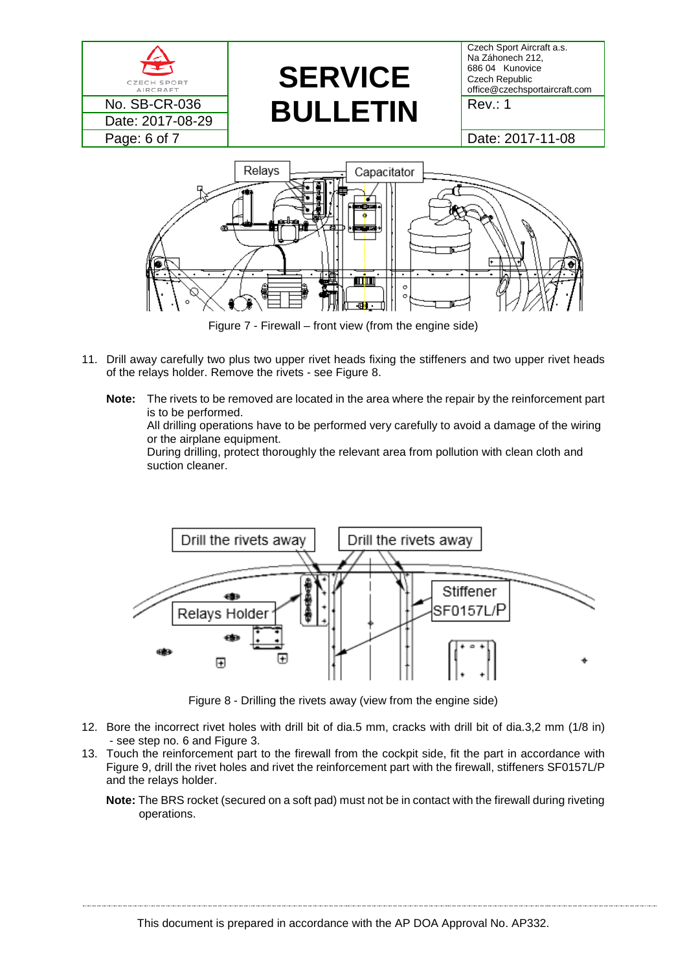

Figure 7 - Firewall – front view (from the engine side)

- <span id="page-5-0"></span>11. Drill away carefully two plus two upper rivet heads fixing the stiffeners and two upper rivet heads of the relays holder. Remove the rivets - see Figure 8.
	- **Note:** The rivets to be removed are located in the area where the repair by the reinforcement part is to be performed.

All drilling operations have to be performed very carefully to avoid a damage of the wiring or the airplane equipment.

During drilling, protect thoroughly the relevant area from pollution with clean cloth and suction cleaner.



Figure 8 - Drilling the rivets away (view from the engine side)

- 12. Bore the incorrect rivet holes with drill bit of dia.5 mm, cracks with drill bit of dia.3,2 mm (1/8 in) - see step no. 6 and Figure 3.
- 13. Touch the reinforcement part to the firewall from the cockpit side, fit the part in accordance with Figure 9, drill the rivet holes and rivet the reinforcement part with the firewall, stiffeners SF0157L/P and the relays holder.
	- **Note:** The BRS rocket (secured on a soft pad) must not be in contact with the firewall during riveting operations.